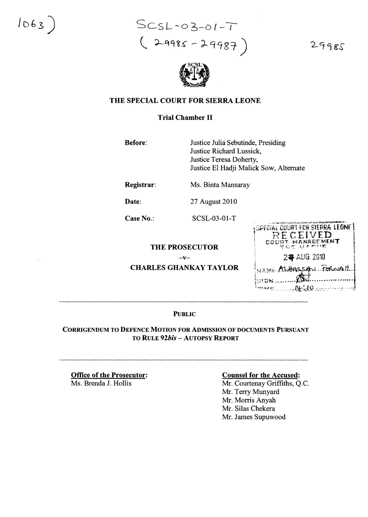$1063)$ 

*SCSL-06-01-J*  $($  29985 - 29987

29985



### THE SPECIAL COURT FOR SIERRA LEONE

## Trial Chamber II

Before: Justice Julia Sebutinde, Presiding Justice Richard Lussick, Justice Teresa Doherty, Justice El Hadji Malick Sow, Alternate

Registrar: Ms. Binta Mansaray

**Date:** 27 August 2010

Case No.: SCSL-03-01-T

### THE PROSECUTOR

 $-v-$ 

CHARLES GHANKAY TAYLOR



#### PuBLIC

#### CORRIGENDUM TO DEFENCE MOTION FOR ADMISSION OF DOCUMENTS PURSUANT TO RULE *92bis* - AUTOPSY REpORT

Office of the Prosecutor: Ms. Brenda J. Hollis

#### Counsel for the Accused:

Mr. Courtenay Griffiths, Q.c. Mr. Terry Munyard Mr. Morris Anyah Mr. Silas Chekera Mr. James Supuwood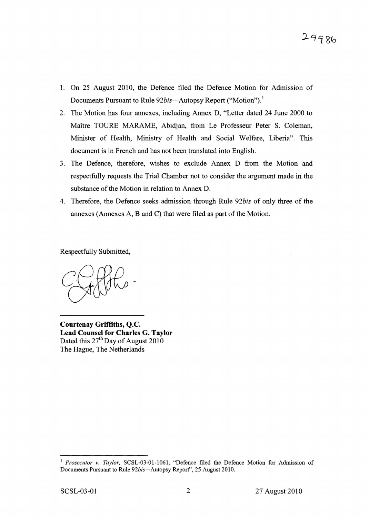- 1. On 25 August 2010, the Defence filed the Defence Motion for Admission of Documents Pursuant to Rule 92bis—Autopsy Report ("Motion").<sup>1</sup>
- 2. The Motion has four annexes, including Annex D, "Letter dated 24 June 2000 to Maitre TOURE MARAME, Abidjan, from Le Professeur Peter S. Coleman, Minister of Health, Ministry of Health and Social Welfare, Liberia". This document is in French and has not been translated into English.
- 3. The Defence, therefore, wishes to exclude Annex D from the Motion and respectfully requests the Trial Chamber not to consider the argument made in the substance of the Motion in relation to Annex D.
- 4. Therefore, the Defence seeks admission through Rule *92bis* of only three of the annexes (Annexes A, B and C) that were filed as part of the Motion.

Respectfully Submitted,

Courtenay Griffiths, Q.c. Lead Counsel for Charles G. Taylor Dated this  $27<sup>th</sup>$  Day of August 2010 The Hague, The Netherlands

<sup>1</sup> *Prosecutor v. Taylor,* SCSL-03-01-1061 , "Defence filed the Defence Motion for Admission of Documents Pursuant to Rule 92bis-Autopsy Report", 25 August 2010.